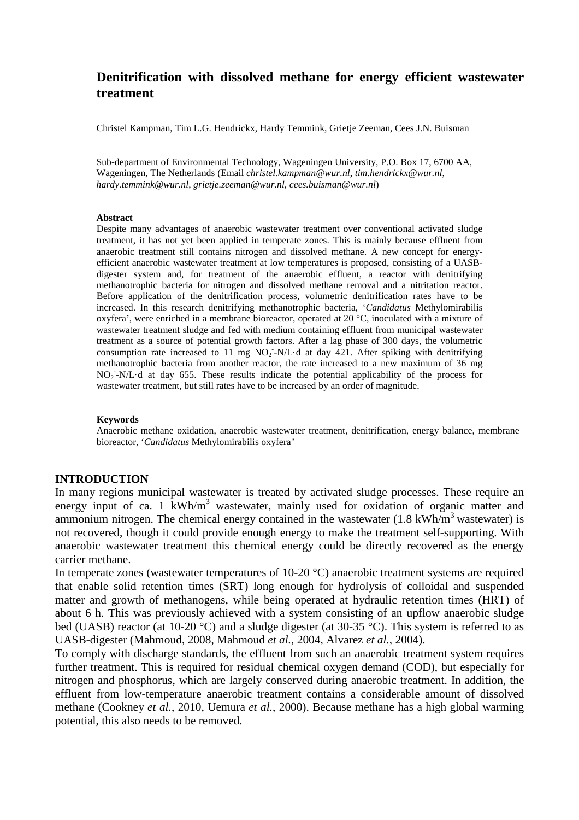# **Denitrification with dissolved methane for energy efficient wastewater treatment**

Christel Kampman, Tim L.G. Hendrickx, Hardy Temmink, Grietje Zeeman, Cees J.N. Buisman

Sub-department of Environmental Technology, Wageningen University, P.O. Box 17, 6700 AA, Wageningen, The Netherlands (Email *christel.kampman@wur.nl*, *tim.hendrickx@wur.nl*, *hardy.temmink@wur.nl*, *grietje.zeeman@wur.nl*, *cees.buisman@wur.nl*)

#### **Abstract**

Despite many advantages of anaerobic wastewater treatment over conventional activated sludge treatment, it has not yet been applied in temperate zones. This is mainly because effluent from anaerobic treatment still contains nitrogen and dissolved methane. A new concept for energyefficient anaerobic wastewater treatment at low temperatures is proposed, consisting of a UASBdigester system and, for treatment of the anaerobic effluent, a reactor with denitrifying methanotrophic bacteria for nitrogen and dissolved methane removal and a nitritation reactor. Before application of the denitrification process, volumetric denitrification rates have to be increased. In this research denitrifying methanotrophic bacteria, '*Candidatus* Methylomirabilis oxyfera', were enriched in a membrane bioreactor, operated at 20 °C, inoculated with a mixture of wastewater treatment sludge and fed with medium containing effluent from municipal wastewater treatment as a source of potential growth factors. After a lag phase of 300 days, the volumetric consumption rate increased to 11 mg  $NO<sub>2</sub>$ -N/L·d at day 421. After spiking with denitrifying methanotrophic bacteria from another reactor, the rate increased to a new maximum of 36 mg NO<sup>2</sup> - -N/L·d at day 655. These results indicate the potential applicability of the process for wastewater treatment, but still rates have to be increased by an order of magnitude.

#### **Keywords**

Anaerobic methane oxidation, anaerobic wastewater treatment, denitrification, energy balance, membrane bioreactor, '*Candidatus* Methylomirabilis oxyfera*'*

#### **INTRODUCTION**

In many regions municipal wastewater is treated by activated sludge processes. These require an energy input of ca. 1 kWh/m<sup>3</sup> wastewater, mainly used for oxidation of organic matter and ammonium nitrogen. The chemical energy contained in the wastewater  $(1.8 \text{ kWh/m}^3 \text{wastwater})$  is not recovered, though it could provide enough energy to make the treatment self-supporting. With anaerobic wastewater treatment this chemical energy could be directly recovered as the energy carrier methane.

In temperate zones (wastewater temperatures of 10-20 °C) anaerobic treatment systems are required that enable solid retention times (SRT) long enough for hydrolysis of colloidal and suspended matter and growth of methanogens, while being operated at hydraulic retention times (HRT) of about 6 h. This was previously achieved with a system consisting of an upflow anaerobic sludge bed (UASB) reactor (at 10-20 °C) and a sludge digester (at 30-35 °C). This system is referred to as UASB-digester (Mahmoud, 2008, Mahmoud *et al.*, 2004, Alvarez *et al.*, 2004).

To comply with discharge standards, the effluent from such an anaerobic treatment system requires further treatment. This is required for residual chemical oxygen demand (COD), but especially for nitrogen and phosphorus, which are largely conserved during anaerobic treatment. In addition, the effluent from low-temperature anaerobic treatment contains a considerable amount of dissolved methane (Cookney *et al.*, 2010, Uemura *et al.*, 2000). Because methane has a high global warming potential, this also needs to be removed.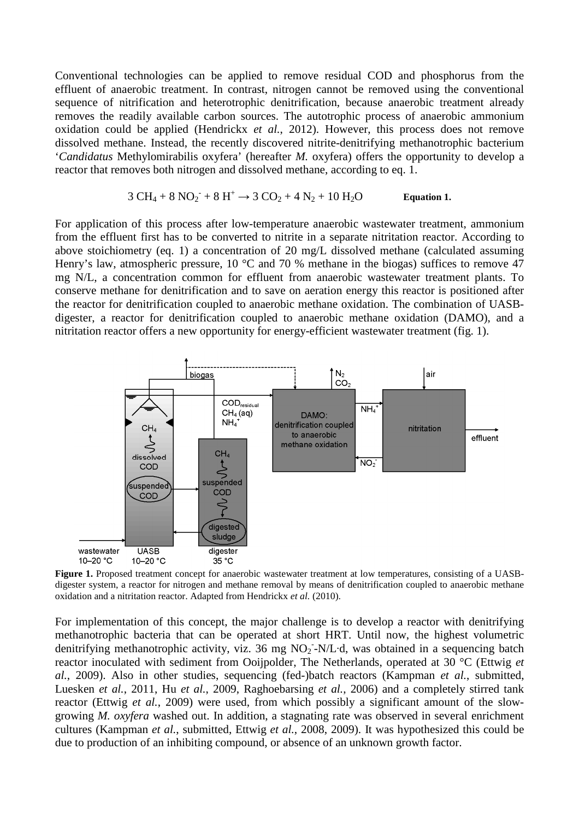Conventional technologies can be applied to remove residual COD and phosphorus from the effluent of anaerobic treatment. In contrast, nitrogen cannot be removed using the conventional sequence of nitrification and heterotrophic denitrification, because anaerobic treatment already removes the readily available carbon sources. The autotrophic process of anaerobic ammonium oxidation could be applied (Hendrickx *et al.*, 2012). However, this process does not remove dissolved methane. Instead, the recently discovered nitrite-denitrifying methanotrophic bacterium '*Candidatus* Methylomirabilis oxyfera' (hereafter *M.* oxyfera) offers the opportunity to develop a reactor that removes both nitrogen and dissolved methane, according to eq. 1.

$$
3 \text{ CH}_4 + 8 \text{ NO}_2 + 8 \text{ H}^+ \rightarrow 3 \text{ CO}_2 + 4 \text{ N}_2 + 10 \text{ H}_2\text{O} \qquad \text{Equation 1.}
$$

For application of this process after low-temperature anaerobic wastewater treatment, ammonium from the effluent first has to be converted to nitrite in a separate nitritation reactor. According to above stoichiometry (eq. 1) a concentration of 20 mg/L dissolved methane (calculated assuming Henry's law, atmospheric pressure, 10 °C and 70 % methane in the biogas) suffices to remove 47 mg N/L, a concentration common for effluent from anaerobic wastewater treatment plants. To conserve methane for denitrification and to save on aeration energy this reactor is positioned after the reactor for denitrification coupled to anaerobic methane oxidation. The combination of UASBdigester, a reactor for denitrification coupled to anaerobic methane oxidation (DAMO), and a nitritation reactor offers a new opportunity for energy-efficient wastewater treatment (fig. 1).



**Figure 1.** Proposed treatment concept for anaerobic wastewater treatment at low temperatures, consisting of a UASBdigester system, a reactor for nitrogen and methane removal by means of denitrification coupled to anaerobic methane oxidation and a nitritation reactor. Adapted from Hendrickx *et al.* (2010).

For implementation of this concept, the major challenge is to develop a reactor with denitrifying methanotrophic bacteria that can be operated at short HRT. Until now, the highest volumetric denitrifying methanotrophic activity, viz. 36 mg NO<sub>2</sub>-N/L·d, was obtained in a sequencing batch reactor inoculated with sediment from Ooijpolder, The Netherlands, operated at 30 °C (Ettwig *et al.*, 2009). Also in other studies, sequencing (fed-)batch reactors (Kampman *et al.*, submitted, Luesken *et al.*, 2011, Hu *et al.*, 2009, Raghoebarsing *et al.*, 2006) and a completely stirred tank reactor (Ettwig *et al.*, 2009) were used, from which possibly a significant amount of the slowgrowing *M. oxyfera* washed out. In addition, a stagnating rate was observed in several enrichment cultures (Kampman *et al.*, submitted, Ettwig *et al.*, 2008, 2009). It was hypothesized this could be due to production of an inhibiting compound, or absence of an unknown growth factor.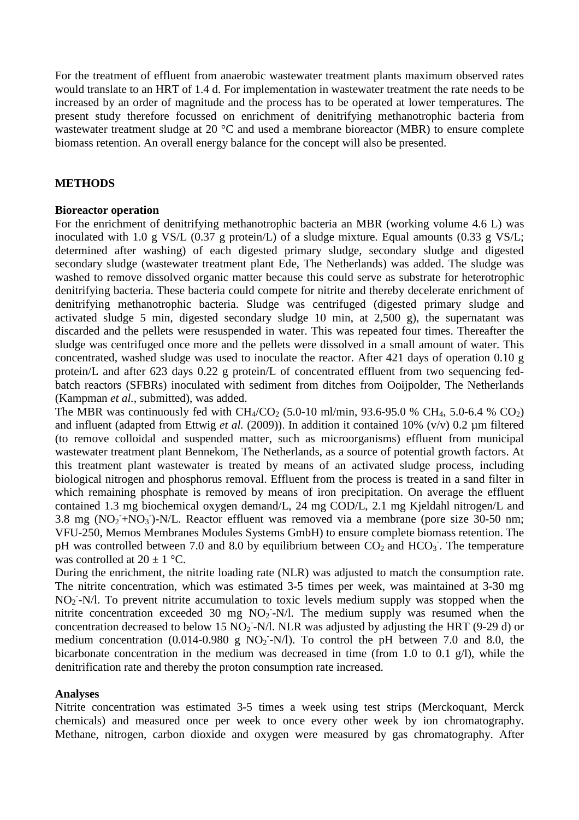For the treatment of effluent from anaerobic wastewater treatment plants maximum observed rates would translate to an HRT of 1.4 d. For implementation in wastewater treatment the rate needs to be increased by an order of magnitude and the process has to be operated at lower temperatures. The present study therefore focussed on enrichment of denitrifying methanotrophic bacteria from wastewater treatment sludge at 20 °C and used a membrane bioreactor (MBR) to ensure complete biomass retention. An overall energy balance for the concept will also be presented.

### **METHODS**

#### **Bioreactor operation**

For the enrichment of denitrifying methanotrophic bacteria an MBR (working volume 4.6 L) was inoculated with 1.0 g VS/L (0.37 g protein/L) of a sludge mixture. Equal amounts (0.33 g VS/L; determined after washing) of each digested primary sludge, secondary sludge and digested secondary sludge (wastewater treatment plant Ede, The Netherlands) was added. The sludge was washed to remove dissolved organic matter because this could serve as substrate for heterotrophic denitrifying bacteria. These bacteria could compete for nitrite and thereby decelerate enrichment of denitrifying methanotrophic bacteria. Sludge was centrifuged (digested primary sludge and activated sludge 5 min, digested secondary sludge 10 min, at 2,500 g), the supernatant was discarded and the pellets were resuspended in water. This was repeated four times. Thereafter the sludge was centrifuged once more and the pellets were dissolved in a small amount of water. This concentrated, washed sludge was used to inoculate the reactor. After 421 days of operation 0.10 g protein/L and after 623 days 0.22 g protein/L of concentrated effluent from two sequencing fedbatch reactors (SFBRs) inoculated with sediment from ditches from Ooijpolder, The Netherlands (Kampman *et al.*, submitted), was added.

The MBR was continuously fed with  $CH_4/CO_2$  (5.0-10 ml/min, 93.6-95.0 % CH<sub>4</sub>, 5.0-6.4 % CO<sub>2</sub>) and influent (adapted from Ettwig *et al.* (2009)). In addition it contained 10% (v/v) 0.2 µm filtered (to remove colloidal and suspended matter, such as microorganisms) effluent from municipal wastewater treatment plant Bennekom, The Netherlands, as a source of potential growth factors. At this treatment plant wastewater is treated by means of an activated sludge process, including biological nitrogen and phosphorus removal. Effluent from the process is treated in a sand filter in which remaining phosphate is removed by means of iron precipitation. On average the effluent contained 1.3 mg biochemical oxygen demand/L, 24 mg COD/L, 2.1 mg Kjeldahl nitrogen/L and 3.8 mg  $(NO<sub>2</sub> + NO<sub>3</sub>)$ -N/L. Reactor effluent was removed via a membrane (pore size 30-50 nm; VFU-250, Memos Membranes Modules Systems GmbH) to ensure complete biomass retention. The pH was controlled between 7.0 and 8.0 by equilibrium between  $CO_2$  and  $HCO_3$ . The temperature was controlled at  $20 \pm 1$  °C.

During the enrichment, the nitrite loading rate (NLR) was adjusted to match the consumption rate. The nitrite concentration, which was estimated 3-5 times per week, was maintained at 3-30 mg NO<sub>2</sub>-N/l. To prevent nitrite accumulation to toxic levels medium supply was stopped when the nitrite concentration exceeded 30 mg  $NO<sub>2</sub>$ -N/l. The medium supply was resumed when the concentration decreased to below 15  $NO<sub>2</sub>$ -N/l. NLR was adjusted by adjusting the HRT (9-29 d) or medium concentration (0.014-0.980 g NO<sub>2</sub>-N/l). To control the pH between 7.0 and 8.0, the bicarbonate concentration in the medium was decreased in time (from 1.0 to 0.1 g/l), while the denitrification rate and thereby the proton consumption rate increased.

#### **Analyses**

Nitrite concentration was estimated 3-5 times a week using test strips (Merckoquant, Merck chemicals) and measured once per week to once every other week by ion chromatography. Methane, nitrogen, carbon dioxide and oxygen were measured by gas chromatography. After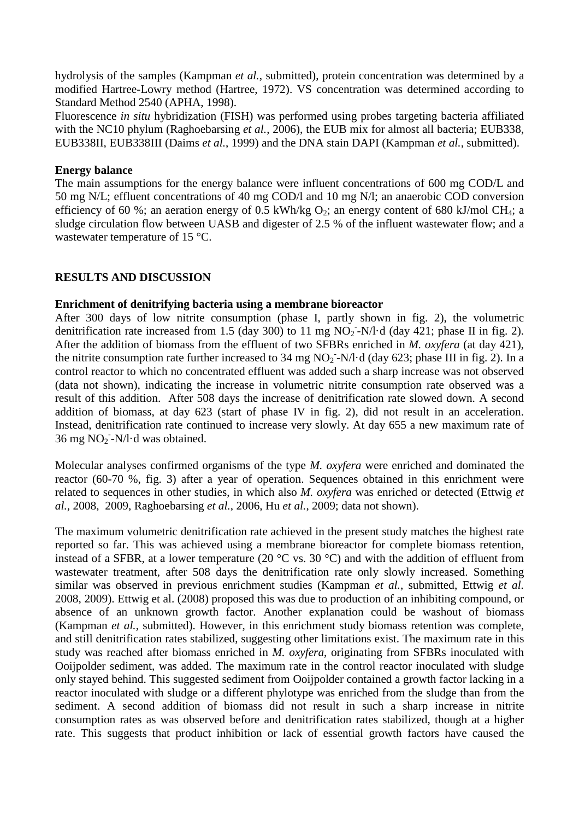hydrolysis of the samples (Kampman *et al.*, submitted), protein concentration was determined by a modified Hartree-Lowry method (Hartree, 1972). VS concentration was determined according to Standard Method 2540 (APHA, 1998).

Fluorescence *in situ* hybridization (FISH) was performed using probes targeting bacteria affiliated with the NC10 phylum (Raghoebarsing *et al.*, 2006), the EUB mix for almost all bacteria; EUB338, EUB338II, EUB338III (Daims *et al.*, 1999) and the DNA stain DAPI (Kampman *et al.*, submitted).

## **Energy balance**

The main assumptions for the energy balance were influent concentrations of 600 mg COD/L and 50 mg N/L; effluent concentrations of 40 mg COD/l and 10 mg N/l; an anaerobic COD conversion efficiency of 60 %; an aeration energy of 0.5 kWh/kg  $O_2$ ; an energy content of 680 kJ/mol CH<sub>4</sub>; a sludge circulation flow between UASB and digester of 2.5 % of the influent wastewater flow; and a wastewater temperature of 15 °C.

## **RESULTS AND DISCUSSION**

## **Enrichment of denitrifying bacteria using a membrane bioreactor**

After 300 days of low nitrite consumption (phase I, partly shown in fig. 2), the volumetric denitrification rate increased from 1.5 (day 300) to 11 mg  $NO<sub>2</sub>$ -N/l·d (day 421; phase II in fig. 2). After the addition of biomass from the effluent of two SFBRs enriched in *M. oxyfera* (at day 421), the nitrite consumption rate further increased to 34 mg  $NO<sub>2</sub>$ -N/l·d (day 623; phase III in fig. 2). In a control reactor to which no concentrated effluent was added such a sharp increase was not observed (data not shown), indicating the increase in volumetric nitrite consumption rate observed was a result of this addition. After 508 days the increase of denitrification rate slowed down. A second addition of biomass, at day 623 (start of phase IV in fig. 2), did not result in an acceleration. Instead, denitrification rate continued to increase very slowly. At day 655 a new maximum rate of  $36 \text{ mg NO}_2$ -N/l·d was obtained.

Molecular analyses confirmed organisms of the type *M. oxyfera* were enriched and dominated the reactor (60-70 %, fig. 3) after a year of operation. Sequences obtained in this enrichment were related to sequences in other studies, in which also *M. oxyfera* was enriched or detected (Ettwig *et al.*, 2008, 2009, Raghoebarsing *et al.*, 2006, Hu *et al.*, 2009; data not shown).

The maximum volumetric denitrification rate achieved in the present study matches the highest rate reported so far. This was achieved using a membrane bioreactor for complete biomass retention, instead of a SFBR, at a lower temperature (20  $\degree$ C vs. 30  $\degree$ C) and with the addition of effluent from wastewater treatment, after 508 days the denitrification rate only slowly increased. Something similar was observed in previous enrichment studies (Kampman *et al.*, submitted, Ettwig *et al.* 2008, 2009). Ettwig et al. (2008) proposed this was due to production of an inhibiting compound, or absence of an unknown growth factor. Another explanation could be washout of biomass (Kampman *et al.*, submitted). However, in this enrichment study biomass retention was complete, and still denitrification rates stabilized, suggesting other limitations exist. The maximum rate in this study was reached after biomass enriched in *M. oxyfera*, originating from SFBRs inoculated with Ooijpolder sediment, was added. The maximum rate in the control reactor inoculated with sludge only stayed behind. This suggested sediment from Ooijpolder contained a growth factor lacking in a reactor inoculated with sludge or a different phylotype was enriched from the sludge than from the sediment. A second addition of biomass did not result in such a sharp increase in nitrite consumption rates as was observed before and denitrification rates stabilized, though at a higher rate. This suggests that product inhibition or lack of essential growth factors have caused the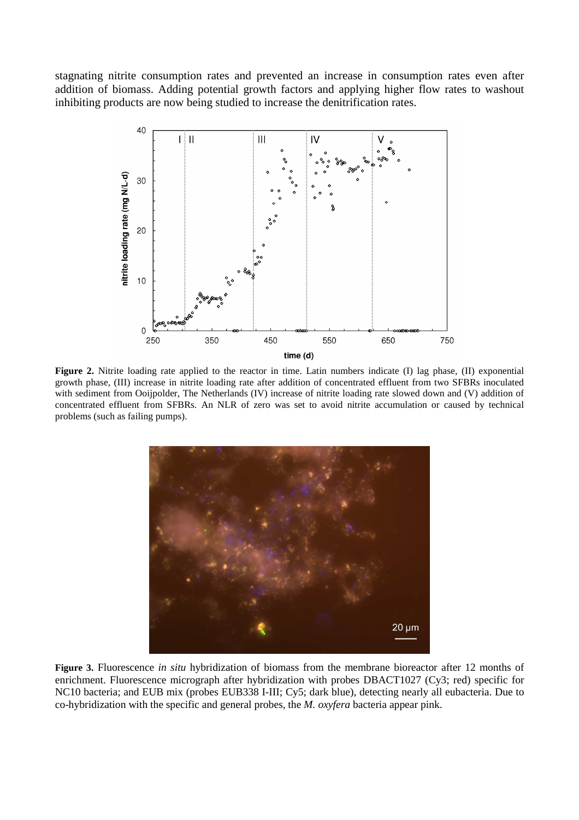stagnating nitrite consumption rates and prevented an increase in consumption rates even after addition of biomass. Adding potential growth factors and applying higher flow rates to washout inhibiting products are now being studied to increase the denitrification rates.



**Figure 2.** Nitrite loading rate applied to the reactor in time. Latin numbers indicate (I) lag phase, (II) exponential growth phase, (III) increase in nitrite loading rate after addition of concentrated effluent from two SFBRs inoculated with sediment from Ooijpolder, The Netherlands (IV) increase of nitrite loading rate slowed down and (V) addition of concentrated effluent from SFBRs. An NLR of zero was set to avoid nitrite accumulation or caused by technical problems (such as failing pumps).



**Figure 3.** Fluorescence *in situ* hybridization of biomass from the membrane bioreactor after 12 months of enrichment. Fluorescence micrograph after hybridization with probes DBACT1027 (Cy3; red) specific for NC10 bacteria; and EUB mix (probes EUB338 I-III; Cy5; dark blue), detecting nearly all eubacteria. Due to co-hybridization with the specific and general probes, the *M. oxyfera* bacteria appear pink.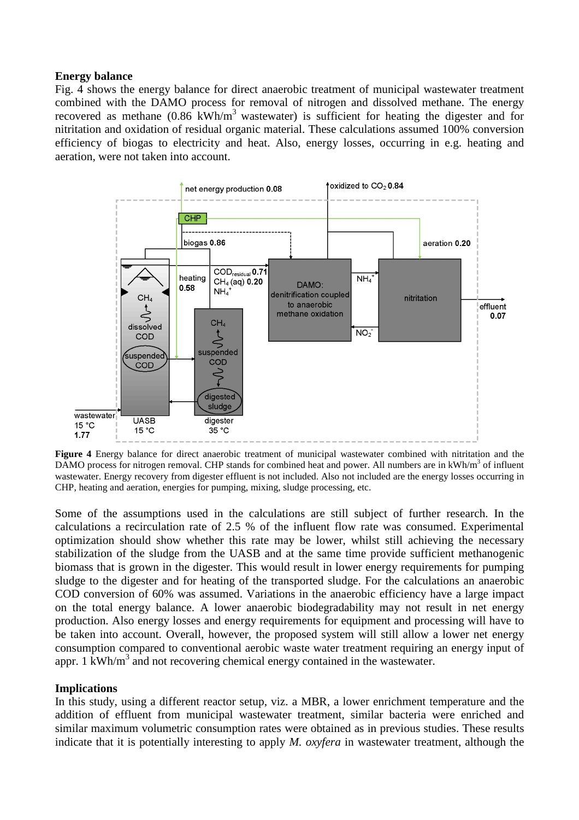#### **Energy balance**

Fig. 4 shows the energy balance for direct anaerobic treatment of municipal wastewater treatment combined with the DAMO process for removal of nitrogen and dissolved methane. The energy recovered as methane  $(0.86 \text{ kWh/m}^3$  wastewater) is sufficient for heating the digester and for nitritation and oxidation of residual organic material. These calculations assumed 100% conversion efficiency of biogas to electricity and heat. Also, energy losses, occurring in e.g. heating and aeration, were not taken into account.



**Figure 4** Energy balance for direct anaerobic treatment of municipal wastewater combined with nitritation and the DAMO process for nitrogen removal. CHP stands for combined heat and power. All numbers are in kWh/m<sup>3</sup> of influent wastewater. Energy recovery from digester effluent is not included. Also not included are the energy losses occurring in CHP, heating and aeration, energies for pumping, mixing, sludge processing, etc.

Some of the assumptions used in the calculations are still subject of further research. In the calculations a recirculation rate of 2.5 % of the influent flow rate was consumed. Experimental optimization should show whether this rate may be lower, whilst still achieving the necessary stabilization of the sludge from the UASB and at the same time provide sufficient methanogenic biomass that is grown in the digester. This would result in lower energy requirements for pumping sludge to the digester and for heating of the transported sludge. For the calculations an anaerobic COD conversion of 60% was assumed. Variations in the anaerobic efficiency have a large impact on the total energy balance. A lower anaerobic biodegradability may not result in net energy production. Also energy losses and energy requirements for equipment and processing will have to be taken into account. Overall, however, the proposed system will still allow a lower net energy consumption compared to conventional aerobic waste water treatment requiring an energy input of appr.  $1 \text{ kWh/m}^3$  and not recovering chemical energy contained in the wastewater.

#### **Implications**

In this study, using a different reactor setup, viz. a MBR, a lower enrichment temperature and the addition of effluent from municipal wastewater treatment, similar bacteria were enriched and similar maximum volumetric consumption rates were obtained as in previous studies. These results indicate that it is potentially interesting to apply *M. oxyfera* in wastewater treatment, although the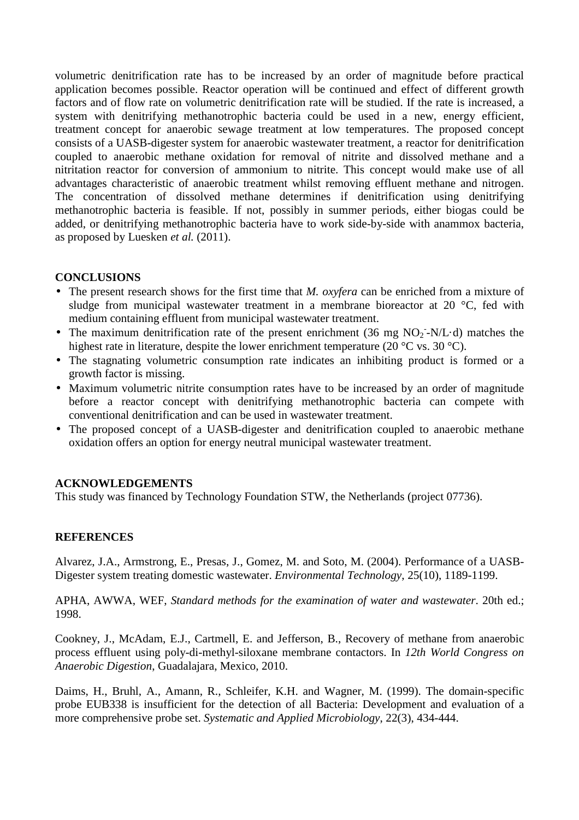volumetric denitrification rate has to be increased by an order of magnitude before practical application becomes possible. Reactor operation will be continued and effect of different growth factors and of flow rate on volumetric denitrification rate will be studied. If the rate is increased, a system with denitrifying methanotrophic bacteria could be used in a new, energy efficient, treatment concept for anaerobic sewage treatment at low temperatures. The proposed concept consists of a UASB-digester system for anaerobic wastewater treatment, a reactor for denitrification coupled to anaerobic methane oxidation for removal of nitrite and dissolved methane and a nitritation reactor for conversion of ammonium to nitrite. This concept would make use of all advantages characteristic of anaerobic treatment whilst removing effluent methane and nitrogen. The concentration of dissolved methane determines if denitrification using denitrifying methanotrophic bacteria is feasible. If not, possibly in summer periods, either biogas could be added, or denitrifying methanotrophic bacteria have to work side-by-side with anammox bacteria, as proposed by Luesken *et al.* (2011).

## **CONCLUSIONS**

- The present research shows for the first time that *M. oxyfera* can be enriched from a mixture of sludge from municipal wastewater treatment in a membrane bioreactor at 20 °C, fed with medium containing effluent from municipal wastewater treatment.
- The maximum denitrification rate of the present enrichment (36 mg  $NO<sub>2</sub>$ -N/L·d) matches the highest rate in literature, despite the lower enrichment temperature (20 °C vs. 30 °C).
- The stagnating volumetric consumption rate indicates an inhibiting product is formed or a growth factor is missing.
- Maximum volumetric nitrite consumption rates have to be increased by an order of magnitude before a reactor concept with denitrifying methanotrophic bacteria can compete with conventional denitrification and can be used in wastewater treatment.
- The proposed concept of a UASB-digester and denitrification coupled to anaerobic methane oxidation offers an option for energy neutral municipal wastewater treatment.

## **ACKNOWLEDGEMENTS**

This study was financed by Technology Foundation STW, the Netherlands (project 07736).

### **REFERENCES**

Alvarez, J.A., Armstrong, E., Presas, J., Gomez, M. and Soto, M. (2004). Performance of a UASB-Digester system treating domestic wastewater. *Environmental Technology*, 25(10), 1189-1199.

APHA, AWWA, WEF, *Standard methods for the examination of water and wastewater*. 20th ed.; 1998.

Cookney, J., McAdam, E.J., Cartmell, E. and Jefferson, B., Recovery of methane from anaerobic process effluent using poly-di-methyl-siloxane membrane contactors. In *12th World Congress on Anaerobic Digestion*, Guadalajara, Mexico, 2010.

Daims, H., Bruhl, A., Amann, R., Schleifer, K.H. and Wagner, M. (1999). The domain-specific probe EUB338 is insufficient for the detection of all Bacteria: Development and evaluation of a more comprehensive probe set. *Systematic and Applied Microbiology*, 22(3), 434-444.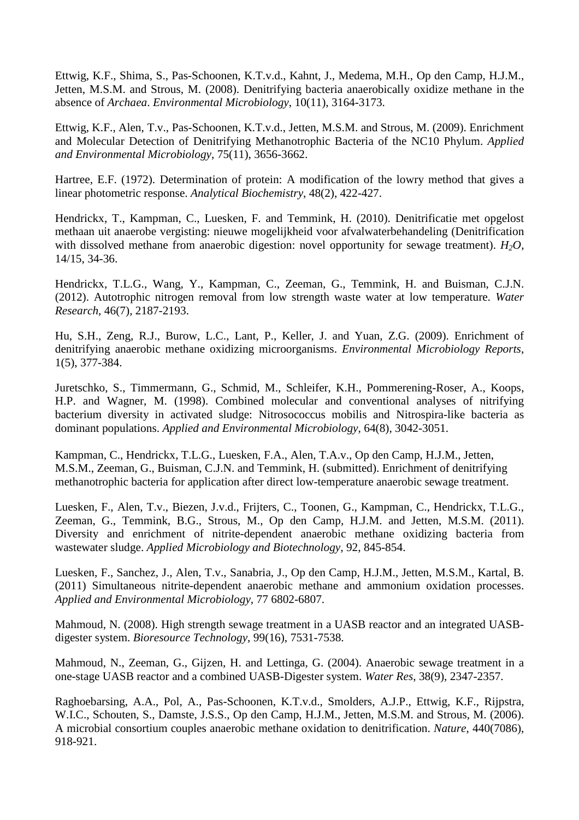Ettwig, K.F., Shima, S., Pas-Schoonen, K.T.v.d., Kahnt, J., Medema, M.H., Op den Camp, H.J.M., Jetten, M.S.M. and Strous, M. (2008). Denitrifying bacteria anaerobically oxidize methane in the absence of *Archaea*. *Environmental Microbiology*, 10(11), 3164-3173.

Ettwig, K.F., Alen, T.v., Pas-Schoonen, K.T.v.d., Jetten, M.S.M. and Strous, M. (2009). Enrichment and Molecular Detection of Denitrifying Methanotrophic Bacteria of the NC10 Phylum. *Applied and Environmental Microbiology*, 75(11), 3656-3662.

Hartree, E.F. (1972). Determination of protein: A modification of the lowry method that gives a linear photometric response. *Analytical Biochemistry*, 48(2), 422-427.

Hendrickx, T., Kampman, C., Luesken, F. and Temmink, H. (2010). Denitrificatie met opgelost methaan uit anaerobe vergisting: nieuwe mogelijkheid voor afvalwaterbehandeling (Denitrification with dissolved methane from anaerobic digestion: novel opportunity for sewage treatment). *H2O*, 14/15, 34-36.

Hendrickx, T.L.G., Wang, Y., Kampman, C., Zeeman, G., Temmink, H. and Buisman, C.J.N. (2012). Autotrophic nitrogen removal from low strength waste water at low temperature. *Water Research*, 46(7), 2187-2193.

Hu, S.H., Zeng, R.J., Burow, L.C., Lant, P., Keller, J. and Yuan, Z.G. (2009). Enrichment of denitrifying anaerobic methane oxidizing microorganisms. *Environmental Microbiology Reports*, 1(5), 377-384.

Juretschko, S., Timmermann, G., Schmid, M., Schleifer, K.H., Pommerening-Roser, A., Koops, H.P. and Wagner, M. (1998). Combined molecular and conventional analyses of nitrifying bacterium diversity in activated sludge: Nitrosococcus mobilis and Nitrospira-like bacteria as dominant populations. *Applied and Environmental Microbiology*, 64(8), 3042-3051.

Kampman, C., Hendrickx, T.L.G., Luesken, F.A., Alen, T.A.v., Op den Camp, H.J.M., Jetten, M.S.M., Zeeman, G., Buisman, C.J.N. and Temmink, H. (submitted). Enrichment of denitrifying methanotrophic bacteria for application after direct low-temperature anaerobic sewage treatment.

Luesken, F., Alen, T.v., Biezen, J.v.d., Frijters, C., Toonen, G., Kampman, C., Hendrickx, T.L.G., Zeeman, G., Temmink, B.G., Strous, M., Op den Camp, H.J.M. and Jetten, M.S.M. (2011). Diversity and enrichment of nitrite-dependent anaerobic methane oxidizing bacteria from wastewater sludge. *Applied Microbiology and Biotechnology*, 92, 845-854.

Luesken, F., Sanchez, J., Alen, T.v., Sanabria, J., Op den Camp, H.J.M., Jetten, M.S.M., Kartal, B. (2011) Simultaneous nitrite-dependent anaerobic methane and ammonium oxidation processes. *Applied and Environmental Microbiology*, 77 6802-6807.

Mahmoud, N. (2008). High strength sewage treatment in a UASB reactor and an integrated UASBdigester system. *Bioresource Technology*, 99(16), 7531-7538.

Mahmoud, N., Zeeman, G., Gijzen, H. and Lettinga, G. (2004). Anaerobic sewage treatment in a one-stage UASB reactor and a combined UASB-Digester system. *Water Res*, 38(9), 2347-2357.

Raghoebarsing, A.A., Pol, A., Pas-Schoonen, K.T.v.d., Smolders, A.J.P., Ettwig, K.F., Rijpstra, W.I.C., Schouten, S., Damste, J.S.S., Op den Camp, H.J.M., Jetten, M.S.M. and Strous, M. (2006). A microbial consortium couples anaerobic methane oxidation to denitrification. *Nature*, 440(7086), 918-921.